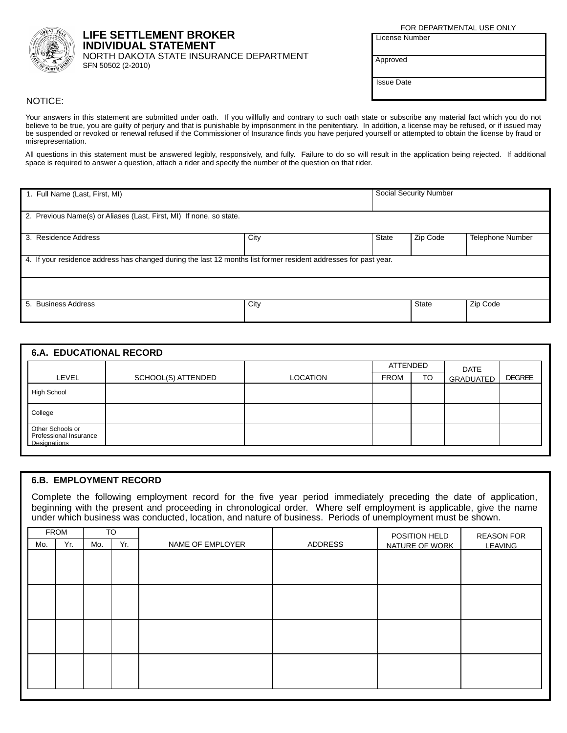

**LIFE SETTLEMENT BROKER INDIVIDUAL STATEMENT** NORTH DAKOTA STATE INSURANCE DEPARTMENT SFN 50502 (2-2010)

FOR DEPARTMENTAL USE ONLY

**License Number** 

Approved

**Issue Date** 

## NOTICE:

Your answers in this statement are submitted under oath. If you willfully and contrary to such oath state or subscribe any material fact which you do not believe to be true, you are guilty of perjury and that is punishable by imprisonment in the penitentiary. In addition, a license may be refused, or if issued may be suspended or revoked or renewal refused if the Commissioner of Insurance finds you have perjured yourself or attempted to obtain the license by fraud or misrepresentation.

All questions in this statement must be answered legibly, responsively, and fully. Failure to do so will result in the application being rejected. If additional space is required to answer a question, attach a rider and specify the number of the question on that rider.

| 1. Full Name (Last, First, MI)                                                                                   |      |       | <b>Social Security Number</b> |                  |  |  |
|------------------------------------------------------------------------------------------------------------------|------|-------|-------------------------------|------------------|--|--|
| 2. Previous Name(s) or Aliases (Last, First, MI) If none, so state.                                              |      |       |                               |                  |  |  |
| 3. Residence Address                                                                                             | City | State | Zip Code                      | Telephone Number |  |  |
| 4. If your residence address has changed during the last 12 months list former resident addresses for past year. |      |       |                               |                  |  |  |
|                                                                                                                  |      |       |                               |                  |  |  |
| 5. Business Address                                                                                              | City |       | <b>State</b>                  | Zip Code         |  |  |

| <b>6.A. EDUCATIONAL RECORD</b>                             |                    |                 |                 |           |                  |               |
|------------------------------------------------------------|--------------------|-----------------|-----------------|-----------|------------------|---------------|
|                                                            |                    |                 | <b>ATTENDED</b> |           | <b>DATE</b>      |               |
| LEVEL                                                      | SCHOOL(S) ATTENDED | <b>LOCATION</b> | <b>FROM</b>     | <b>TO</b> | <b>GRADUATED</b> | <b>DEGREE</b> |
| <b>High School</b>                                         |                    |                 |                 |           |                  |               |
| College                                                    |                    |                 |                 |           |                  |               |
| Other Schools or<br>Professional Insurance<br>Designations |                    |                 |                 |           |                  |               |

## **6.B. EMPLOYMENT RECORD**

Complete the following employment record for the five year period immediately preceding the date of application, beginning with the present and proceeding in chronological order. Where self employment is applicable, give the name under which business was conducted, location, and nature of business. Periods of unemployment must be shown.

|     | <b>FROM</b> |     | <b>TO</b> |                  |         | POSITION HELD  | <b>REASON FOR</b> |
|-----|-------------|-----|-----------|------------------|---------|----------------|-------------------|
| Mo. | Yr.         | Mo. | Yr.       | NAME OF EMPLOYER | ADDRESS | NATURE OF WORK | <b>LEAVING</b>    |
|     |             |     |           |                  |         |                |                   |
|     |             |     |           |                  |         |                |                   |
|     |             |     |           |                  |         |                |                   |
|     |             |     |           |                  |         |                |                   |
|     |             |     |           |                  |         |                |                   |
|     |             |     |           |                  |         |                |                   |
|     |             |     |           |                  |         |                |                   |
|     |             |     |           |                  |         |                |                   |
|     |             |     |           |                  |         |                |                   |
|     |             |     |           |                  |         |                |                   |
|     |             |     |           |                  |         |                |                   |
|     |             |     |           |                  |         |                |                   |
|     |             |     |           |                  |         |                |                   |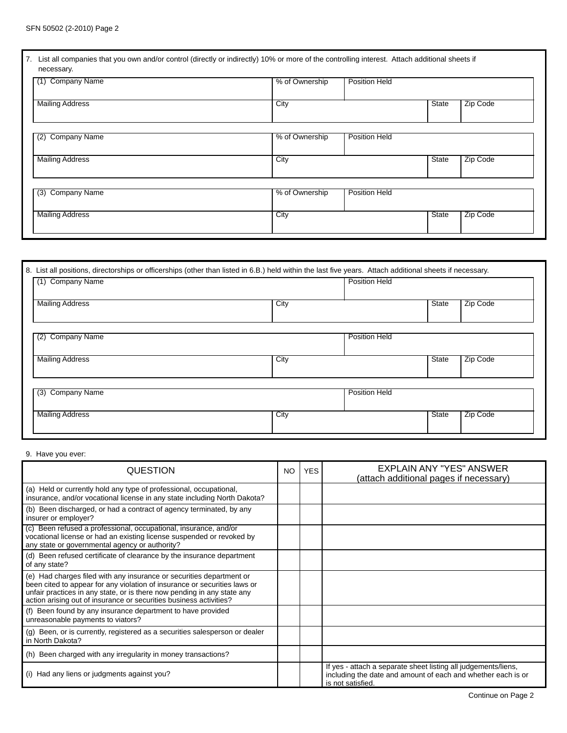| 7. List all companies that you own and/or control (directly or indirectly) 10% or more of the controlling interest. Attach additional sheets if<br>necessary. |                |                      |       |          |
|---------------------------------------------------------------------------------------------------------------------------------------------------------------|----------------|----------------------|-------|----------|
| Company Name<br>(1)                                                                                                                                           | % of Ownership | <b>Position Held</b> |       |          |
| <b>Mailing Address</b>                                                                                                                                        | City           |                      | State | Zip Code |
| <b>Company Name</b><br>(2)                                                                                                                                    | % of Ownership | <b>Position Held</b> |       |          |
| <b>Mailing Address</b>                                                                                                                                        | City           |                      | State | Zip Code |
| <b>Company Name</b><br>(3)                                                                                                                                    | % of Ownership | <b>Position Held</b> |       |          |
| <b>Mailing Address</b>                                                                                                                                        | City           |                      | State | Zip Code |

| 8. List all positions, directorships or officerships (other than listed in 6.B.) held within the last five years. Attach additional sheets if necessary.<br><b>Company Name</b><br>(1) |      | <b>Position Held</b> |          |
|----------------------------------------------------------------------------------------------------------------------------------------------------------------------------------------|------|----------------------|----------|
| <b>Mailing Address</b>                                                                                                                                                                 | City | State                | Zip Code |
| <b>Company Name</b><br>(2)                                                                                                                                                             |      | <b>Position Held</b> |          |
| <b>Mailing Address</b>                                                                                                                                                                 | City | State                | Zip Code |
| Company Name<br>(3)                                                                                                                                                                    |      | <b>Position Held</b> |          |
| <b>Mailing Address</b>                                                                                                                                                                 | City | State                | Zip Code |

## 9. Have you ever:

| QUESTION                                                                                                                                                                                                                                                                                           | NO. | <b>YES</b> | EXPLAIN ANY "YES" ANSWER<br>(attach additional pages if necessary)                                                                                  |
|----------------------------------------------------------------------------------------------------------------------------------------------------------------------------------------------------------------------------------------------------------------------------------------------------|-----|------------|-----------------------------------------------------------------------------------------------------------------------------------------------------|
| (a) Held or currently hold any type of professional, occupational,<br>insurance, and/or vocational license in any state including North Dakota?                                                                                                                                                    |     |            |                                                                                                                                                     |
| (b) Been discharged, or had a contract of agency terminated, by any<br>insurer or employer?                                                                                                                                                                                                        |     |            |                                                                                                                                                     |
| (c) Been refused a professional, occupational, insurance, and/or<br>vocational license or had an existing license suspended or revoked by<br>any state or governmental agency or authority?                                                                                                        |     |            |                                                                                                                                                     |
| (d) Been refused certificate of clearance by the insurance department<br>of any state?                                                                                                                                                                                                             |     |            |                                                                                                                                                     |
| (e) Had charges filed with any insurance or securities department or<br>been cited to appear for any violation of insurance or securities laws or<br>unfair practices in any state, or is there now pending in any state any<br>action arising out of insurance or securities business activities? |     |            |                                                                                                                                                     |
| (f) Been found by any insurance department to have provided<br>unreasonable payments to viators?                                                                                                                                                                                                   |     |            |                                                                                                                                                     |
| (g) Been, or is currently, registered as a securities salesperson or dealer<br>in North Dakota?                                                                                                                                                                                                    |     |            |                                                                                                                                                     |
| (h) Been charged with any irregularity in money transactions?                                                                                                                                                                                                                                      |     |            |                                                                                                                                                     |
| (i) Had any liens or judgments against you?                                                                                                                                                                                                                                                        |     |            | If yes - attach a separate sheet listing all judgements/liens,<br>including the date and amount of each and whether each is or<br>is not satisfied. |